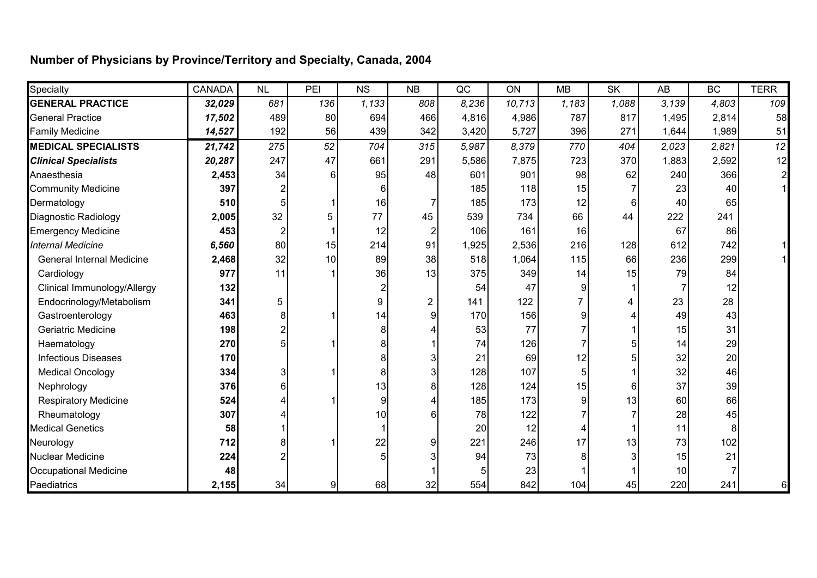## **Number of Physicians by Province/Territory and Specialty, Canada, 2004**

| Specialty                        | <b>CANADA</b> | NL             | PEI            | <b>NS</b> | <b>NB</b>      | QC    | ON     | <b>MB</b>      | <b>SK</b> | AB    | <b>BC</b> | <b>TERR</b>  |
|----------------------------------|---------------|----------------|----------------|-----------|----------------|-------|--------|----------------|-----------|-------|-----------|--------------|
| <b>GENERAL PRACTICE</b>          | 32,029        | 681            | 136            | 1,133     | 808            | 8,236 | 10,713 | 1,183          | 1,088     | 3,139 | 4,803     | 109          |
| <b>General Practice</b>          | 17,502        | 489            | 80             | 694       | 466            | 4,816 | 4,986  | 787            | 817       | 1,495 | 2,814     | 58           |
| <b>Family Medicine</b>           | 14,527        | 192            | 56             | 439       | 342            | 3,420 | 5,727  | 396            | 271       | 1,644 | 1,989     | 51           |
| <b>MEDICAL SPECIALISTS</b>       | 21,742        | 275            | 52             | 704       | 315            | 5,987 | 8,379  | 770            | 404       | 2,023 | 2,821     | 12           |
| <b>Clinical Specialists</b>      | 20,287        | 247            | 47             | 661       | 291            | 5,586 | 7,875  | 723            | 370       | 1,883 | 2,592     | 12           |
| Anaesthesia                      | 2,453         | 34             | 6              | 95        | 48             | 601   | 901    | 98             | 62        | 240   | 366       | $\mathbf{z}$ |
| <b>Community Medicine</b>        | 397           | $\overline{2}$ |                | 6         |                | 185   | 118    | 15             |           | 23    | 40        |              |
| Dermatology                      | 510           | 5              |                | 16        |                | 185   | 173    | 12             | 6         | 40    | 65        |              |
| Diagnostic Radiology             | 2,005         | 32             | 5              | 77        | 45             | 539   | 734    | 66             | 44        | 222   | 241       |              |
| <b>Emergency Medicine</b>        | 453           | 2              |                | 12        |                | 106   | 161    | 16             |           | 67    | 86        |              |
| <b>Internal Medicine</b>         | 6,560         | 80             | 15             | 214       | 91             | 1,925 | 2,536  | 216            | 128       | 612   | 742       |              |
| <b>General Internal Medicine</b> | 2,468         | 32             | 10             | 89        | 38             | 518   | 1,064  | 115            | 66        | 236   | 299       |              |
| Cardiology                       | 977           | 11             |                | 36        | 13             | 375   | 349    | 14             | 15        | 79    | 84        |              |
| Clinical Immunology/Allergy      | 132           |                |                | 2         |                | 54    | 47     | 9              |           |       | 12        |              |
| Endocrinology/Metabolism         | 341           | 5              |                | 9         | $\overline{2}$ | 141   | 122    | $\overline{7}$ | 4         | 23    | 28        |              |
| Gastroenterology                 | 463           | 8              |                | 14        | g              | 170   | 156    | 9              |           | 49    | 43        |              |
| Geriatric Medicine               | 198           | $\overline{2}$ |                | 8         |                | 53    | 77     |                |           | 15    | 31        |              |
| Haematology                      | 270           | 5              |                | 8         |                | 74    | 126    |                |           | 14    | 29        |              |
| <b>Infectious Diseases</b>       | 170           |                |                | 8         |                | 21    | 69     | 12             |           | 32    | 20        |              |
| <b>Medical Oncology</b>          | 334           | 3              |                | 8         |                | 128   | 107    | 5              |           | 32    | 46        |              |
| Nephrology                       | 376           | 6              |                | 13        |                | 128   | 124    | 15             | 6         | 37    | 39        |              |
| <b>Respiratory Medicine</b>      | 524           |                |                | 9         |                | 185   | 173    | 9              | 13        | 60    | 66        |              |
| Rheumatology                     | 307           |                |                | 10        |                | 78    | 122    |                |           | 28    | 45        |              |
| <b>Medical Genetics</b>          | 58            |                |                |           |                | 20    | 12     | 4              |           | 11    | 8         |              |
| Neurology                        | 712           | 8              |                | 22        | 9              | 221   | 246    | 17             | 13        | 73    | 102       |              |
| <b>Nuclear Medicine</b>          | 224           |                |                | 5         |                | 94    | 73     | 8              |           | 15    | 21        |              |
| <b>Occupational Medicine</b>     | 48            |                |                |           |                |       | 23     |                |           | 10    |           |              |
| Paediatrics                      | 2,155         | 34             | $\overline{9}$ | 68        | 32             | 554   | 842    | 104            | 45        | 220   | 241       | 6            |